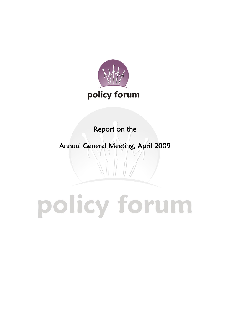

Report on the

 $\overline{1}$ 

Annual General Meeting, April 2009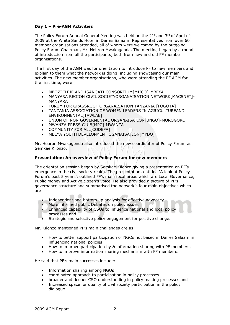## **Day 1 – Pre-AGM Activities**

The Policy Forum Annual General Meeting was held on the  $2^{nd}$  and  $3^{rd}$  of April of 2009 at the White Sands Hotel in Dar es Salaam. Representatives from over 60 member organisations attended, all of whom were welcomed by the outgoing Policy Forum Chairman, Mr. Hebron Mwakagenda. The meeting began by a round of introduction from all the participants, both from new and old PF member organisations.

The first day of the AGM was for orientation to introduce PF to new members and explain to them what the network is doing, including showcasing our main activities. The new member organisations, who were attending the PF AGM for the first time, were:

- MBOZI ILEJE AND ISANGATI CONSORTIUM[MIICO]-MBEYA
- MANYARA REGION CIVIL SOCIETYORGANAISATION NETWORK[MACSNET]- MANYARA
- FORUM FOR GRASSROOT ORGANAISATION TANZANIA [FOGOTA]
- TANZANIA ASSOCIATION OF WOMEN LEADERS IN AGRICULTUREAND ENVIRONMENTAL[TAWLAE]
- UNION OF NON GOVERMENTAL ORGANAISATION[UNGO]-MOROGORO
- MWANZA PRESS CLUB[MPC]-MWANZA
- COMMUNITY FOR ALLICODEFA1
- MBEYA YOUTH DEVELOPMENT OGANAISATION[MYDO]

Mr. Hebron Mwakagenda also introduced the new coordinator of Policy Forum as Semkae Kilonzo.

### **Presentation: An overview of Policy Forum for new members**

The orientation session began by Semkae Kilonzo giving a presentation on PF's emergence in the civil society realm. The presentation, entitled 'A look at Policy Forum's past 5 years', outlined PF's main focal areas which are Local Governance, Public money and Active citizen's voice. He also provided a picture of PF's governance structure and summarised the network's four main objectives which are:

- Independent and bottom up analysis for effective advocacy
- More informed public Debates on policy issues
- Enhanced capability of CSOs to influence national and local policy processes and
- Strategic and selective policy engagement for positive change.

Mr. Kilonzo mentioned PF's main challenges are as:

- How to better support participation of NGOs not based in Dar es Salaam in influencing national policies
- How to improve participation by & information sharing with PF members.
- How to improve information sharing mechanism with PF members.

He said that PF's main successes include:

- Information sharing among NGOs
- coordinated approach to participation in policy processes
- broader and deeper CSO understanding in policy making processes and
- Increased space for quality of civil society participation in the policy dialogue.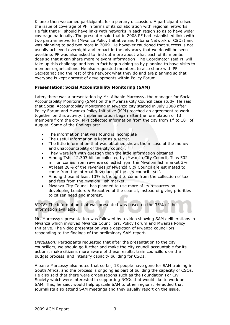Kilonzo then welcomed participants for a plenary discussion. A participant raised the issue of coverage of PF in terms of its collaboration with regional networks. He felt that PF should have links with networks in each region so as to have wider coverage nationally. The presenter said that in 2008 PF had established links with two partner networks (Mwanza Policy Initiative and Kibaha Network of CSOs) and was planning to add two more in 2009. He however cautioned that success is not usually achieved overnight and impact in the advocacy that we do will be seen overtime. PF was also asked to find out more about what each of its member does so that it can share more relevant information. The Coordinator said PF will take up this challenge and has in fact begun doing so by planning to have visits to member organisations. He also requested members to also share with PF Secretariat and the rest of the network what they do and are planning so that everyone is kept abreast of developments within Policy Forum.

## **Presentation: Social Accountability Monitoring (SAM)**

Later, there was a presentation by Mr. Albanie Marcossy, the manager for Social Accountability Monitoring (SAM) on the Mwanza City Council case study. He said that Social Accountability Monitoring in Mwanza city started in July 2008 after Policy Forum and Mwanza Policy Initiative (MPI) reached an agreement to work together on this activity. Implementation began after the formulation of 13 members from the city. MPI collected information from the city from  $1<sup>st</sup>$  to  $18<sup>th</sup>$  of August. Some of the findings are:

- The information that was found is incomplete
- The useful information is kept as a secret
- The little information that was obtained shows the misuse of the money and unaccountability of the city council.
- They were left with question than the little information obtained.
- Among Tshs 12.303 billion collected by Mwanza City Council, Tshs 502 million comes from revenue collected from the Mwaloni fish market 3%
- At least 28% of the revenues of Mwanza City Council are estimated to come from the internal Revenues of the city council itself.
- Among those at least 13% is thought to come from the collection of tax and fees from the Mwaloni Fish market.
- Mwanza City Council has planned to use more of its resources on developing Leaders & Executive of the council, instead of giving priorities to citizen need and interest.

*NOTE:* The information that was presented was based on the 35% of the information available.

Mr. Marcossy's presentation was followed by a video showing SAM deliberations in Mwanza which involved Mwanza Councillors, Policy Forum and Mwanza Policy Initiative. The video presentation was a depiction of Mwanza councillors responding to the findings of the preliminary SAM report.

*Discussion:* Participants requested that after the presentation to the city councillors, we should go further and make the city council accountable for its actions, make citizens more aware of these results, train councillors on the budget process, and intensify capacity building for CSOs.

Albanie Marcossy also noted that so far, 13 people have gone for SAM training in South Africa, and the process is ongoing as part of building the capacity of CSOs. He also said that there were organisations such as the Foundation For Civil Society which were interested in supporting NGOs that would like to work on SAM. This, he said, would help upscale SAM to other regions. He added that journalists also attend SAM meetings and they usually report on the issue.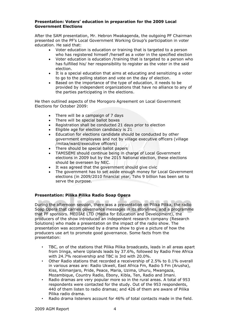### **Presentation: Voters' education in preparation for the 2009 Local Government Elections**

After the SAM presentation, Mr. Hebron Mwakagenda, the outgoing PF Chairman presented on the PF's Local Government Working Group's participation in voter education. He said that:

- Voter education is education or training that is targeted to a person who has registered himself /herself as a voter in the specified election
- Voter education is education /training that is targeted to a person who has fulfilled his/ her responsibility to register as the voter in the said election.
- It is a special education that aims at educating and sensitizing a voter to go to the polling station and vote on the day of election.
- Based on the importance of the type of education, it needs to be provided by independent organizations that have no alliance to any of the parties participating in the elections.

He then outlined aspects of the Morogoro Agreement on Local Government Elections for October 2009:

- There will be a campaign of 7 days
- There will be special ballot boxes
- Registration shall be conducted 21 days prior to election
- Eligible age for election candidacy is 21
- Education for elections candidate should be conducted by other government employees and not by village executive officers (village /mitaa/ward/executive officers)
- There should be special ballot papers
- TAMISEMI should continue being in charge of Local Government elections in 2009 but by the 2015 National election, these elections should be overseen by NEC.
- It was agreed that the government should give civic
- The government has to set aside enough money for Local Government elections (in 2009/2010 financial year, Tshs 9 billion has been set to serve the purpose.

## **Presentation: Pilika Pilika Radio Soap Opera**

During the afternoon session, there was a presentation on Pilika Pilika, the radio Soap Opera that carries governance messages in its storylines, and a programme that PF sponsors. MEDIAE LTD (Media for Education and Development), the producers of the show introduced an independent research company (Research Solutions) who made a presentation on the impact of the radio show. The presentation was accompanied by a drama show to give a picture of how the producers use art to promote good governance. Some facts from the presentation:

- TBC, on of the stations that Pilika Pilika broadcasts, leads in all areas apart from Iringa, where Uplands leads by 37.6%, followed by Radio Free Africa with 24.7% receivership and TBC is 3rd with 20.0%.
- Other Radio stations that recorded a receivership of 2.5% to 0.1% overall in various areas are: Radio Ukweli, East Africa Fm, Radio 5 Fm (Arusha), Kiss, Kilimanjaro, Pride, Peace, Maria, Uzima, Uhuru, Mwangaza, Mozambique, Country Radio, Ebony, Kibla, Ten, Radio and Imani.
- Radio dramas are very popular more so in the rural areas. A total of 953 respondents were contacted for the study. Out of the 953 respondents, 440 of them listen to radio dramas; and 426 of them are aware of Pilika Pilika radio drama.
- Radio drama listeners account for 46% of total contacts made in the field.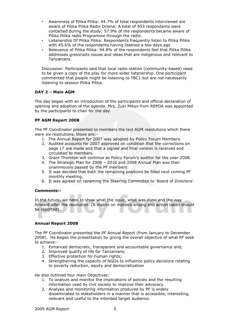- Awareness of Pilika Pilika: 44.7% of total respondents interviewed are aware of Pilika Pilika Radio Drama; A total of 953 respondents were contacted during the study; 57.9% of the respondents became aware of Pilika Pilika radio Programme through the radio.
- Listenership Of Pilika Pilika: Respondents frequently listen to Pilika Pilika with 45.6% of the respondents having listened a few days ago
- Relevance of Pilika Pilika: 94.8% of the respondents feel that Pilika Pilika addresses grassroots issues and ideas that are indigenous and relevant to Tanzanians.

Discussion: Participants said that local radio station (community-based) need to be given a copy of the play for more wider listenership. One participant commented that people might be listening to TBC1 but are not necessarily listening to session Pilika Pilika.

## **DAY 2 – Main AGM**

The day began with an introduction of the participants and official declaration of opening and adoption of the agenda. Mrs. Zuki Mikyo from REPOA was appointed by the participants to chair for the day.

## **PF AGM Report 2008**

The PF Coordinator presented to members the last AGM resolutions which there were six resolutions, those are:-

- 1. The Annual Report for 2007 was adopted by Policy Forum Members.
- 2. Audited accounts for 2007 approved on condition that the corrections on page 17 are made and that a signed and final version is received and circulated to members.
- 3. Grant Thornton will continue as Policy Forum's auditor for the year 2008.
- 4. The Strategic Plan for 2008  $-$  2010 and 2008 Annual Plan was then unanimously passed by the PF members.
- 5. It was decided that both the remaining positions be filled next coming PF monthly meeting.
- 6. It was agreed on renaming the Steering Committee to 'Board of Directors'.

## **Comments:-**

In the future, we need to show what the issue, what was done and the way forward after the resolution. (A matrix on matters arising and action taken should be reported).

## **Annual Report 2008**

The PF Coordinator presented the PF Annual Report (from January to December 2008). He began the presentation by giving the overall objective of what PF seek to achieve:-

- 1. Enhanced democratic, transparent and accountable governance and;
- 2. Improved quality of life for Tanzanians;
- 3. Effective protection for human rights;
- 4. Strengthening the capacity of NGOs to influence policy decisions relating to poverty reduction, equity and democratization

He also outlined four main Objectives:

- 1. To analyze and monitor the implications of policies and the resulting information used by civil society to improve their advocacy
- 2. Analysis and monitoring information produced by PF is widely disseminated to stakeholders in a manner that is accessible, interesting, relevant and useful to the intended target audience.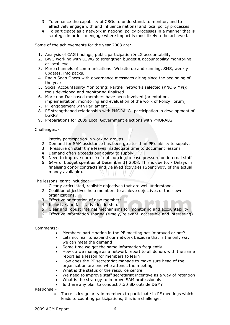- 3. To enhance the capability of CSOs to understand, to monitor, and to effectively engage with and influence national and local policy processes.
- 4. To participate as a network in national policy processes in a manner that is strategic in order to engage where impact is most likely to be achieved.

Some of the achievements for the year 2008 are:-

- 1. Analysis of CAG findings, public participation & LG accountability
- 2. BWG working with LGWG to strengthen budget & accountability monitoring at local level.
- 3. More channels of communications: Website up and running, SMS, weekly updates, info packs.
- 4. Radio Soap Opera with governance messages airing since the beginning of the year.
- 5. Social Accountability Monitoring: Partner networks selected (KNC & MPi); tools developed and monitoring finalised
- 6. More non-Dar based members have been involved (orientation, implementation, monitoring and evaluation of the work of Policy Forum)
- 7. PF engagement with Parliament
- 8. PF strengthened relationship with PMORALG -participation in development of LGRP3
- 9. Preparations for 2009 Local Government elections with PMORALG

Challenges:-

- 1. Patchy participation in working groups
- 2. Demand for SAM assistance has been greater than PF's ability to supply.
- 3. Pressure on staff time leaves inadequate time to document lessons
- 4. Demand often exceeds our ability to supply
- 5. Need to improve our use of outsourcing to ease pressure on internal staff
- 6. 64% of budget spent as of December 31 2008. This is due to: Delays in finalising donor contracts and Delayed activities (Spent 90% of the actual money available).

The lessons learnt included:-

- 1. Clearly articulated, realistic objectives that are well understood.
- 2. Coalition objectives help members to achieve objectives of their own organizations.
- 3. Effective orientation of new members.
- 4. Inclusive and facilitative leadership.
- 5. Clear and robust internal mechanisms for monitoring and accountability.
- 6. Effective information sharing (timely, relevant, accessible and interesting).

Comments:-

- Members' participation in the PF meeting has improved or not?
- Lets not fear to expand our network because that is the only way we can meet the demand
- Some time we get the same information frequently
- How do we manage as a network report to all donors with the same report as a lesson for members to learn
- How does the PF secretariat manage to make sure head of the organisation are one who attends the meeting
- What is the status of the resource centre
- We need to improve staff secretariat incentive as a way of retention
- What is the strategy to improve SAM professionals
- Is there any plan to conduct 7:30 BD outside DSM?

Response:-

 There is irregularity in members to participate in PF meetings which leads to counting participations, this is a challenge.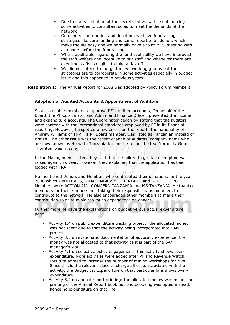- Due to staffs limitation at the secretariat we will be outsourcing some activities to consultant so as to meet the demands of the network
- On donors' contribution and donation, we have fundraising strategies like core funding and same report to all donors which make the life easy and we normally have a joint *MOU* meeting with all donors before the fundraising.
- Where applicable regarding the fund availability we have improved the staff welfare and incentive to our staff and whenever there are overtime staffs is eligible to take a day off.
- We did not intend to merge the two working groups but the strategies are to corroborate in some activities especially in budget issue and this happened in previous years.

**Resolution 1:** The Annual Report for 2008 was adopted by Policy Forum Members.

## **Adoption of Audited Accounts & Appointment of Auditors**

So as to enable members to approve PF's audited accounts, On behalf of the Board, the PF Coordinator and Admin and Finance Officer, presented the income and expenditure accounts. The Coordinator began by stating that the auditors were content with the international standards employed by PF in its financial reporting. However, he spotted a few errors on the report. The nationality of Andrew Williams of TNRF, a PF Board member, was listed as Tanzanian instead of British. The other issue was the recent change of Auditors' company name who are now known as Horwath Tanzania but on the report the text 'formerly Grant Thornton' was missing.

In the Management Letter, they said that the failure to get tax exemption was raised again this year. However, they explained that the application has been lodged with TRA.

He mentioned Donors and Members who contributed their donations for the year 2008 which were HIVOS, CIDA, EMBASSY OF FINLAND and GOOGLE.ORG. Members were ACTION AID, CONCERN TANZANIA and MS TANZANIA. He thanked members for their kindness and taking their responsibility as members to contribute to the network. He also encouraged other members to make their contribution so as to avoid too much dependence on donors.

Further more he gave the explanations on budget versus actual expenditure page:

- Activity 1.4 on public expenditure tracking project: the allocated money was not spent due to that the activity being incorporated into SAM project.
- Activity 3.3 on systematic documentation of advocacy experience: the money was not allocated to that activity as it is part of the SAM manager's work.
- Activity 4.1 on selective policy engagement: This activity shows overexpenditure. More activities were added after PF and Revenue Watch Institute agreed to increase the number of mining workshops for MPs. Since this is the relevant place to charge all costs associated with the activity, the Budget vs. Expenditure on that particular line shows overexpenditure.
- Activity 5.2 on annual report printing: the allocated money was meant for printing of the Annual Report book but photocopying was opted instead, hence no expenditure on that line.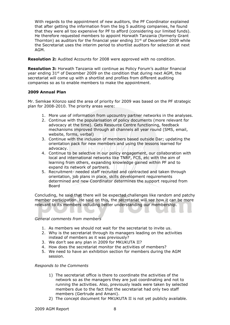With regards to the appointment of new auditors, the PF Coordinator explained that after getting the information from the big 5 auditing companies, he found that they were all too expensive for PF to afford (considering our limited funds). He therefore requested members to appoint Horwath Tanzania (formerly Grant Thornton) as auditors for the financial year ending  $31<sup>st</sup>$  of December 2009 while the Secretariat uses the interim period to shortlist auditors for selection at next AGM.

**Resolution 2:** Audited Accounts for 2008 were approved with no condition.

**Resolution 3:** Horwath Tanzania will continue as Policy Forum's auditor financial year ending  $31^{st}$  of December 2009 on the condition that during next AGM, the secretariat will come up with a shortlist and profiles from different auditing companies so as to enable members to make the appointment.

### **2009 Annual Plan**

Mr. Semkae Kilonzo said the area of priority for 2009 was based on the PF strategic plan for 2008-2010. The priority areas were:

- 1. More use of information from upcountry partner networks in the analyses.
- 2. Continue with the popularisation of policy documents (more relevant for advocacy at the time). Gets Resource Centre functioning, feedback mechanisms improved through all channels all year round (SMS, email, website, forms, verbal)
- 3. Continue with the inclusion of members based outside Dar; updating the orientation pack for new members and using the lessons learned for advocacy.
- 4. Continue to be selective in our policy engagement, our collaboration with local and international networks like TNRF, FCS, etc with the aim of learning from others, expanding knowledge gained within PF and to expand its network of partners.
- 5. Recruitment- needed staff recruited and contracted and taken through orientation, job plans in place, skills development requirements determined and new Coordinator determines the support required from Board

Concluding, he said that there will be expected challenges like random and patchy member participation. He said on this, the secretariat will see how it can be more relevant to its members including better understanding our membership.

#### *General comments from members*

- 1. As members we should not wait for the secretariat to invite us.
- 2. Why is the secretariat through its managers leading on the activities instead of members as it was previously?
- 3. We don't see any plan in 2009 for MKUKUTA II?
- 4. How does the secretariat monitor the activities of members?
- 5. We need to have an exhibition section for members during the AGM session.

### *Responds to the Comments*

- 1) The secretariat office is there to coordinate the activities of the network so as the managers they are just coordinating and not to running the activities. Also, previously leads were taken by selected members due to the fact that the secretariat had only two staff members (Gertrude and Amani).
- 2) The concept document for MKUKUTA II is not yet publicly available.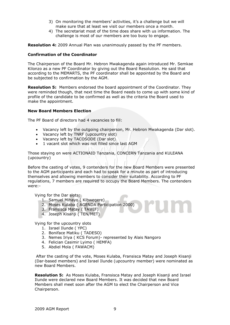- 3) On monitoring the members' activities, it's a challenge but we will make sure that at least we visit our members once a month.
- 4) The secretariat most of the time does share with us information. The challenge is most of our members are too busy to engage.

**Resolution 4:** 2009 Annual Plan was unanimously passed by the PF members.

#### **Confirmation of the Coordinator**

The Chairperson of the Board Mr. Hebron Mwakagenda again introduced Mr. Semkae Kilonzo as a new PF Coordinator by giving out the Board Resolution. He said that according to the MEMARTS, the PF coordinator shall be appointed by the Board and be subjected to confirmation by the AGM.

**Resolution 5:** Members endorsed the board appointment of the Coordinator. They were reminded though, that next time the Board needs to come up with some kind of profile of the candidate to be confirmed as well as the criteria the Board used to make the appointment.

#### **New Board Members Election**

The PF Board of directors had 4 vacancies to fill:

- Vacancy left by the outgoing chairperson, Mr. Hebron Mwakagenda (Dar slot).
- Vacancy left by TNRF (upcountry slot)
- Vacancy left by TACOSODE (Dar slot)
- 1 vacant slot which was not filled since last AGM

Those staying on were ACTIONAID Tanzania, CONCERN Tanzania and KULEANA (upcountry)

Before the casting of votes, 9 contenders for the new Board Members were presented to the AGM participants and each had to speak for a minute as part of introducing themselves and allowing members to consider their suitability. According to PF regulations, 7 members are required to occupy the Board Members. The contenders were:-

Vying for the Dar slots:

- 1. Samuel Mihayo ( Kibwegere)
- 2. Moses Kulaba ( AGENDA Participation 2000)
- 3. Fransisca Matay ( TAWIF)
- 4. Joseph Kisanji ( TEN/MET)

Vying for the upcountry slots

- 1. Israel Ilunde ( YPC)
- 2. Boniface Matiku ( TADESO)
- 3. Nemes Iriya ( KCS Forum)- represented by Alais Nangoro
- 4. Felician Casimir Lyimo ( HEMFA)
- 5. Abdiel Mola ( FAWACM)

After the casting of the vote, Moses Kulaba, Fransisca Matay and Joseph Kisanji (Dar-based members) and Israel Ilunde (upcountry member) were nominated as new Board Members.

**Resolution 5:** As Moses Kulaba, Fransisca Matay and Joseph Kisanji and Israel Ilunde were declared new Board Members. It was decided that new Board Members shall meet soon after the AGM to elect the Chairperson and Vice Chairperson.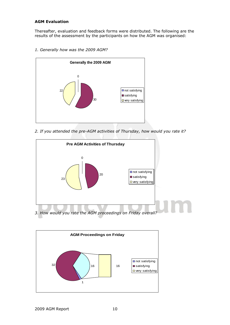## **AGM Evaluation**

Thereafter, evaluation and feedback forms were distributed. The following are the results of the assessment by the participants on how the AGM was organised:

*1. Generally how was the 2009 AGM?*



*2. If you attended the pre-AGM activities of Thursday, how would you rate it?*



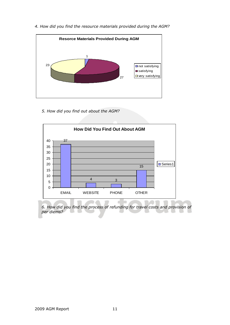

*4. How did you find the resource materials provided during the AGM?*

*5. How did you find out about the AGM?*



*6. How did you find the process of refunding for travel costs and provision of per diems?*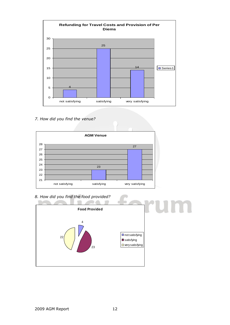

*7. How did you find the venue?*



*8. How did you find the food provided?*

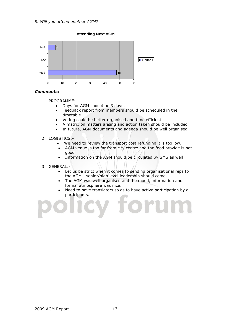*9. Will you attend another AGM?*





- 1. PROGRAMME:-
	- Days for AGM should be 3 days.
	- Feedback report from members should be scheduled in the timetable.
	- Voting could be better organised and time efficient
	- A matrix on matters arising and action taken should be included
	- In future, AGM documents and agenda should be well organised
- 2. LOGISTICS:-
	- We need to review the transport cost refunding it is too low.
	- AGM venue is too far from city centre and the food provide is not good
	- Information on the AGM should be circulated by SMS as well
- 3. GENERAL:-
	- Let us be strict when it comes to sending organisational reps to the AGM - senior/high level leadership should come.
	- The AGM was well organised and the mood, information and formal atmosphere was nice.
	- Need to have translators so as to have active participation by all participants.

oru

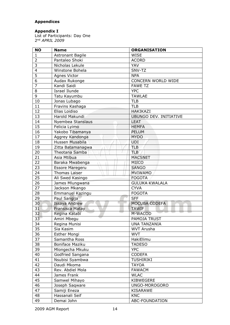# **Appendices**

### **Appendix I**

List of Participants: Day One nd *APRIL 2009*

| <b>NO</b>               | <b>Name</b>             | <b>ORGANISATION</b>           |
|-------------------------|-------------------------|-------------------------------|
| $\mathbf{1}$            | <b>Astronant Bagile</b> | <b>WISE</b>                   |
| $\overline{2}$          | Pantaleo Shoki          | <b>ACORD</b>                  |
| 3                       | Nicholas Lekule         | YAV                           |
| $\overline{\mathbf{4}}$ | Winstone Bohela         | SNV-TZ                        |
| $\overline{5}$          | Agnes Victor            | <b>NPA</b>                    |
| 6                       | Audax Rukonge           | <b>CONCERN WORLD WIDE</b>     |
| 7                       | Kandi Saidi             | <b>FAWE TZ</b>                |
| 8                       | <b>Israel Ilunde</b>    | <b>YPC</b>                    |
| 9                       | Tatu Kayumbu            | <b>TAWLAE</b>                 |
| 10                      | Jonas Lubago            | <b>TLB</b>                    |
| 11                      | Fravins Kashaga         | <b>TLB</b>                    |
| 12                      | Elias Loidiso           | HAKIKAZI                      |
| 13                      | Harold Makundi          | <b>UBUNGO DEV. INITIATIVE</b> |
| 14                      | Nyembea Stanslaus       | <b>LEAT</b>                   |
| 15                      | Felicia Lyimo           | <b>HEMFA</b>                  |
| 16                      | Yakobo Tibamanya        | PELUM                         |
| 17                      | Aggrey Kandonga         | <b>MYDO</b>                   |
| 18                      | Hussen Musabila         | <b>UDI</b>                    |
| 19                      | Zitta Batamanagwa       | TLB                           |
| 20                      | Theotana Samba          | <b>TLB</b>                    |
| 21                      | Asia Mtibua             | <b>MACSNET</b>                |
| 22                      | Baraka Mwabenga         | MIICO                         |
| 23                      | Essore Maregeru         | <b>SANGO</b>                  |
| 24                      | <b>Thomas Laiser</b>    | MVIWAMO                       |
| 25                      | Ali Swed Kasingo        | <b>FOGOTA</b>                 |
| 26                      | James Mlungwana         | <b>GULUKA KWALALA</b>         |
| 27                      | Jackson Mkango          | <b>CYVA</b>                   |
| 28                      | Emmanuel Kazingu        | <b>FOGOTA</b>                 |
| 29                      | Paul Sangija            | <b>SFF</b>                    |
| 30                      | <b>Issaya Andrew</b>    | MOCUBA CODEFA                 |
| 31                      | <b>Fransisca Matay</b>  | <b>TAWIF</b>                  |
| 32                      | Regina Katabi           | M-WACOD                       |
| 33                      | Amiri Mbegu             | PAMOJA TRUST                  |
| 34                      | Regina Munisi           | <b>UNA TANZANIA</b>           |
| 35                      | Sia Kasim               | <b>WVT Arusha</b>             |
| 36                      | <b>Esther Mongi</b>     | <b>WVT</b>                    |
| 37                      | Samantha Ross           | HakiElimu                     |
| 38                      | Boniface Maziku         | <b>TADESO</b>                 |
| 39                      | Mlongecha Mkuku         | <b>YPC</b>                    |
| 40                      | Godfried Sangana        | <b>CODEFA</b>                 |
| 41                      | Nsubisi Syambwa         | <b>TUSHIRIKI</b>              |
| 42                      | Daudi Mkoma             | <b>TAYOA</b>                  |
| 43                      | Rev. Abdiel Mola        | <b>FAWACM</b>                 |
| 44                      | James Frank             | <b>WLAC</b>                   |
| 45                      | Samwel Mihayo           | KIBWEGERE                     |
| 46                      | Joseph Saqware          | UNGO-MOROGORO                 |
| 47                      | Samiji Eneza            | <b>KISARAWE</b>               |
| 48                      | Hassanali Seif          | KNC                           |
| 49                      | Demai John              | ABC-FOUNDATION                |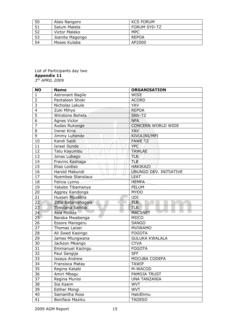| 50 | Alais Nangoro   | <b>KCS FORUM</b>    |
|----|-----------------|---------------------|
| 51 | Salum Maleta    | <b>FORUM SYD-TZ</b> |
| 52 | Victor Maleko   | MPC                 |
| 53 | Joanita Magongo | <b>REPOA</b>        |
| 54 | Moses Kulaba    | AP2000              |

#### List of Participants day two **Appendix 11** *rd APRIL 2009*

| <b>NO</b>      | <b>Name</b>                            | <b>ORGANISATION</b>           |
|----------------|----------------------------------------|-------------------------------|
| $\mathbf{1}$   | <b>Astronant Bagile</b>                | <b>WISE</b>                   |
| $\overline{2}$ | Pantaleon Shoki                        | <b>ACORD</b>                  |
| 3              | Nicholas Lekule                        | YAV                           |
| $\overline{4}$ | Zuki Mihyo                             | <b>REPOA</b>                  |
| 5              | Winstone Bohela                        | SNV-TZ                        |
| $\overline{6}$ | Agnes Victor                           | <b>NPA</b>                    |
| $\overline{7}$ | Audax Rukonge                          | <b>CONCERN WORLD WIDE</b>     |
| 8              | Irenei Kiria                           | YAV                           |
| 9              | Jimmy Luhende                          | KIVULINI/MPI                  |
| 10             | Kandi Saidi                            | <b>FAWE TZ</b>                |
| 11             | <b>Israel Ilunde</b>                   | <b>YPC</b>                    |
| 12             | Tatu Kayumbu                           | <b>TAWLAE</b>                 |
| 13             | Jonas Lubago                           | TLB                           |
| 14             | Fravins Kashaga                        | TLB                           |
| 15             | Elias Loidiso                          | <b>HAKIKAZI</b>               |
| 16             | Harold Makundi                         | <b>UBUNGO DEV. INITIATIVE</b> |
| 17             | .<br>17<br>$\cup$<br>Nyembea Stanslaus | <b>LEAT</b>                   |
| 18             | Felicia Lyimo                          | <b>HEMFA</b>                  |
| 19             | Yakobo Tibamanya                       | <b>PELUM</b>                  |
| 20             | Aggrey Kandonga                        | <b>MYDO</b>                   |
| 21             | Hussen Musabila                        | <b>UDI</b>                    |
| 22             | Zitta Batamanagwa                      | <b>TLB</b>                    |
| 23             | Theotana Samba                         | <b>TLB</b>                    |
| 24             | Asia Mtibua                            | <b>MACSNET</b>                |
| $25 -$         | Baraka Mwabenga                        | MIICO                         |
| 26             | Essore Maregeru                        | <b>SANGO</b>                  |
| 27             | <b>Thomas Laiser</b>                   | <b>MVIWAMO</b>                |
| 28             | Ali Swed Kasingo                       | <b>FOGOTA</b>                 |
| 29             | James Mlungwana                        | <b>GULUKA KWALALA</b>         |
| 30             | Jackson Mkango                         | <b>CYVA</b>                   |
| 31             | Emmanuel Kazingu                       | <b>FOGOTA</b>                 |
| 32             | Paul Sangija                           | <b>SFF</b>                    |
| 33             | Issaya Andrew                          | MOCUBA CODEFA                 |
| 34             | Fransisca Matay                        | <b>TAWIF</b>                  |
| 35             | Regina Katabi                          | M-WACOD                       |
| 36             | Amiri Mbegu                            | PAMOJA TRUST                  |
| 37             | Regina Munisi                          | <b>UNA TANZANIA</b>           |
| 38             | Sia Kasim                              | <b>WVT</b>                    |
| 39             | <b>Esther Mongi</b>                    | <b>WVT</b>                    |
| 40             | Samantha Ross                          | HakiElimu                     |
| 41             | Boniface Maziku                        | <b>TADESO</b>                 |